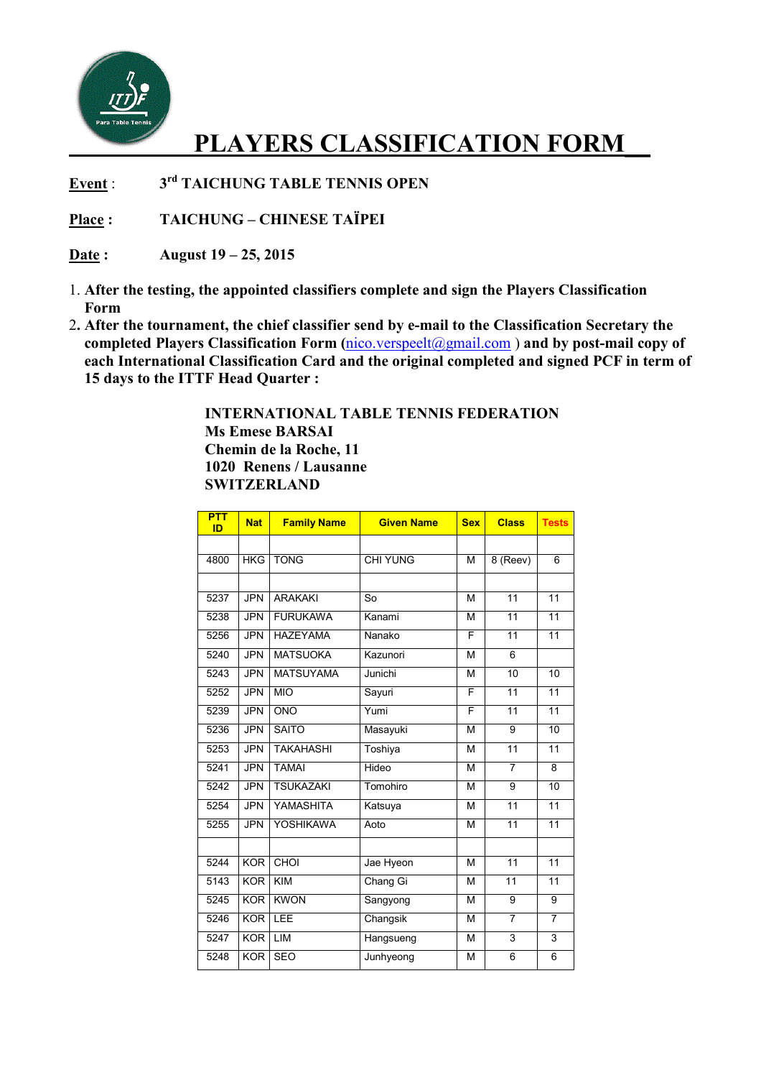

## **PLAYERS CLASSIFICATION FORM\_\_**

**Event** : **3 rd TAICHUNG TABLE TENNIS OPEN** 

**Place : TAICHUNG – CHINESE TAÏPEI** 

**Date : August 19 – 25, 2015** 

- 1. **After the testing, the appointed classifiers complete and sign the Players Classification Form**
- 2**. After the tournament, the chief classifier send by e-mail to the Classification Secretary the completed Players Classification Form (**nico.verspeelt@gmail.com ) **and by post-mail copy of each International Classification Card and the original completed and signed PCF in term of 15 days to the ITTF Head Quarter :**

 **INTERNATIONAL TABLE TENNIS FEDERATION Ms Emese BARSAI Chemin de la Roche, 11 1020 Renens / Lausanne SWITZERLAND** 

| <b>PTT</b><br>ID | <b>Nat</b> | <b>Family Name</b> | <b>Given Name</b>      | <b>Sex</b> | <b>Class</b>    | <b>Tests</b>    |
|------------------|------------|--------------------|------------------------|------------|-----------------|-----------------|
|                  |            |                    |                        |            |                 |                 |
| 4800             | HKG        | <b>TONG</b>        | <b>CHI YUNG</b>        | M          | 8 (Reev)        | 6               |
|                  |            |                    |                        |            |                 |                 |
| 5237             | <b>JPN</b> | <b>ARAKAKI</b>     | $\overline{\text{So}}$ | M          | 11              | 11              |
| 5238             | <b>JPN</b> | <b>FURUKAWA</b>    | Kanami                 | M          | 11              | 11              |
| 5256             | <b>JPN</b> | <b>HAZEYAMA</b>    | Nanako                 | F          | 11              | $\overline{11}$ |
| 5240             | <b>JPN</b> | <b>MATSUOKA</b>    | Kazunori               | M          | 6               |                 |
| 5243             | <b>JPN</b> | <b>MATSUYAMA</b>   | Junichi                | М          | 10              | $\overline{10}$ |
| 5252             | <b>JPN</b> | <b>MIO</b>         | Sayuri                 | F          | 11              | 11              |
| 5239             | <b>JPN</b> | <b>ONO</b>         | Yumi                   | F          | 11              | 11              |
| 5236             | <b>JPN</b> | <b>SAITO</b>       | Masayuki               | M          | $\overline{9}$  | $\overline{10}$ |
| 5253             | <b>JPN</b> | <b>TAKAHASHI</b>   | Toshiya                | M          | 11              | 11              |
| 5241             | <b>JPN</b> | <b>TAMAI</b>       | Hideo                  | M          | 7               | 8               |
| 5242             | <b>JPN</b> | <b>TSUKAZAKI</b>   | Tomohiro               | М          | $\overline{9}$  | 10              |
| 5254             | <b>JPN</b> | YAMASHITA          | Katsuya                | M          | 11              | 11              |
| 5255             | <b>JPN</b> | <b>YOSHIKAWA</b>   | Aoto                   | М          | 11              | 11              |
|                  |            |                    |                        |            |                 |                 |
| 5244             | <b>KOR</b> | CHOI               | Jae Hyeon              | М          | 11              | 11              |
| 5143             | <b>KOR</b> | <b>KIM</b>         | Chang Gi               | M          | $\overline{11}$ | 11              |
| 5245             | <b>KOR</b> | <b>KWON</b>        | Sangyong               | M          | 9               | 9               |
| 5246             | <b>KOR</b> | LEE                | Changsik               | M          | 7               | $\overline{7}$  |
| 5247             | <b>KOR</b> | LIM                | Hangsueng              | M          | 3               | 3               |
| 5248             | <b>KOR</b> | <b>SEO</b>         | Junhyeong              | M          | $\overline{6}$  | $\overline{6}$  |